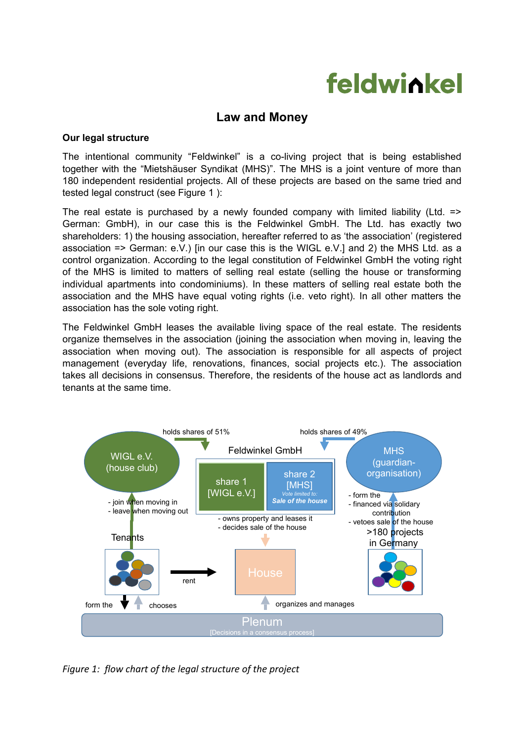# feldwickel

# **Law and Money**

#### **Our legal structure**

The intentional community "Feldwinkel" is a co-living project that is being established together with the "Mietshäuser Syndikat (MHS)". The MHS is a joint venture of more than 180 independent residential projects. All of these projects are based on the same tried and tested legal construct (see Figure 1 ):

The real estate is purchased by a newly founded company with limited liability (Ltd.  $\equiv$ German: GmbH), in our case this is the Feldwinkel GmbH. The Ltd. has exactly two shareholders: 1) the housing association, hereafter referred to as 'the association' (registered association => German: e.V.) [in our case this is the WIGL e.V.] and 2) the MHS Ltd. as a control organization. According to the legal constitution of Feldwinkel GmbH the voting right of the MHS is limited to matters of selling real estate (selling the house or transforming individual apartments into condominiums). In these matters of selling real estate both the association and the MHS have equal voting rights (i.e. veto right). In all other matters the association has the sole voting right.

The Feldwinkel GmbH leases the available living space of the real estate. The residents organize themselves in the association (joining the association when moving in, leaving the association when moving out). The association is responsible for all aspects of project management (everyday life, renovations, finances, social projects etc.). The association takes all decisions in consensus. Therefore, the residents of the house act as landlords and tenants at the same time.



*Figure 1: flow chart of the legal structure of the project*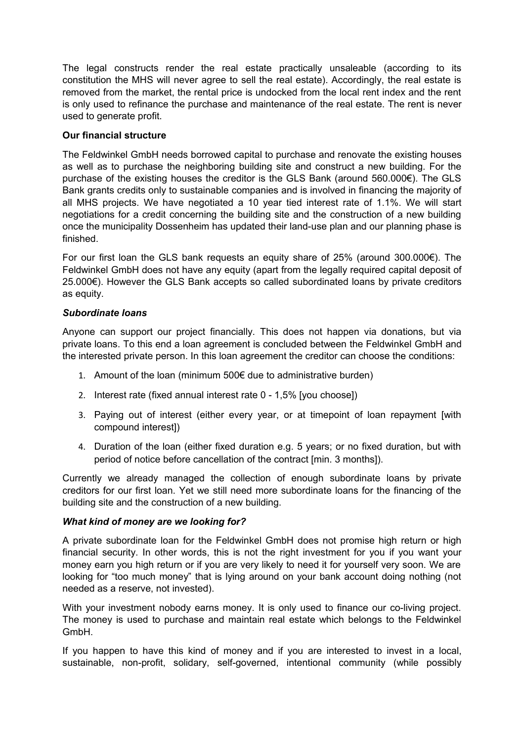The legal constructs render the real estate practically unsaleable (according to its constitution the MHS will never agree to sell the real estate). Accordingly, the real estate is removed from the market, the rental price is undocked from the local rent index and the rent is only used to refinance the purchase and maintenance of the real estate. The rent is never used to generate profit.

## **Our financial structure**

The Feldwinkel GmbH needs borrowed capital to purchase and renovate the existing houses as well as to purchase the neighboring building site and construct a new building. For the purchase of the existing houses the creditor is the GLS Bank (around 560.000€). The GLS Bank grants credits only to sustainable companies and is involved in financing the majority of all MHS projects. We have negotiated a 10 year tied interest rate of 1.1%. We will start negotiations for a credit concerning the building site and the construction of a new building once the municipality Dossenheim has updated their land-use plan and our planning phase is finished.

For our first loan the GLS bank requests an equity share of 25% (around 300.000€). The Feldwinkel GmbH does not have any equity (apart from the legally required capital deposit of 25.000€). However the GLS Bank accepts so called subordinated loans by private creditors as equity.

## *Subordinate loans*

Anyone can support our project financially. This does not happen via donations, but via private loans. To this end a loan agreement is concluded between the Feldwinkel GmbH and the interested private person. In this loan agreement the creditor can choose the conditions:

- 1. Amount of the loan (minimum 500€ due to administrative burden)
- 2. Interest rate (fixed annual interest rate 0 1,5% [you choose])
- 3. Paying out of interest (either every year, or at timepoint of loan repayment [with compound interest])
- 4. Duration of the loan (either fixed duration e.g. 5 years; or no fixed duration, but with period of notice before cancellation of the contract [min. 3 months]).

Currently we already managed the collection of enough subordinate loans by private creditors for our first loan. Yet we still need more subordinate loans for the financing of the building site and the construction of a new building.

#### *What kind of money are we looking for?*

A private subordinate loan for the Feldwinkel GmbH does not promise high return or high financial security. In other words, this is not the right investment for you if you want your money earn you high return or if you are very likely to need it for yourself very soon. We are looking for "too much money" that is lying around on your bank account doing nothing (not needed as a reserve, not invested).

With your investment nobody earns money. It is only used to finance our co-living project. The money is used to purchase and maintain real estate which belongs to the Feldwinkel GmbH.

If you happen to have this kind of money and if you are interested to invest in a local, sustainable, non-profit, solidary, self-governed, intentional community (while possibly